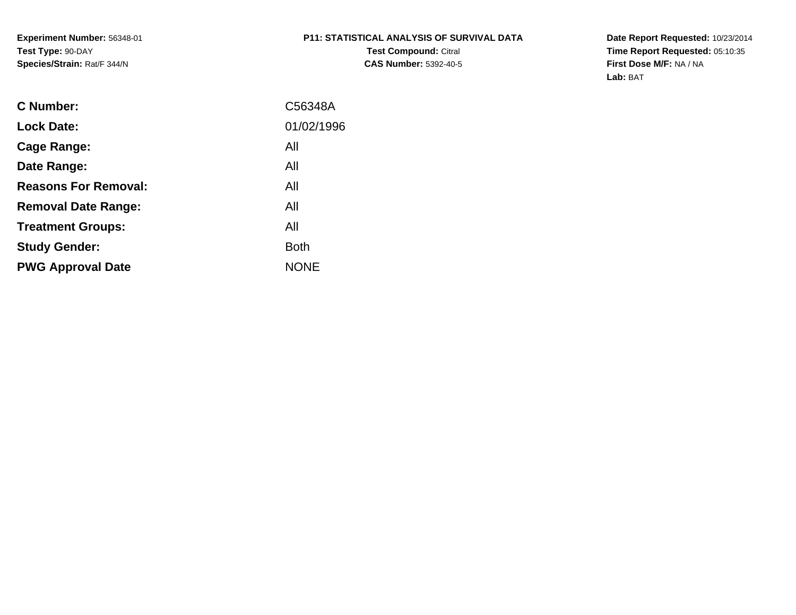**Experiment Number:** 56348-01**Test Type:** 90-DAY**Species/Strain:** Rat/F 344/N

# **P11: STATISTICAL ANALYSIS OF SURVIVAL DATATest Compound:** Citral

**CAS Number:** 5392-40-5

**Date Report Requested:** 10/23/2014 **Time Report Requested:** 05:10:35**First Dose M/F:** NA / NA**Lab:** BAT

| C Number:                   | C56348A     |
|-----------------------------|-------------|
| <b>Lock Date:</b>           | 01/02/1996  |
| Cage Range:                 | All         |
| Date Range:                 | All         |
| <b>Reasons For Removal:</b> | All         |
| <b>Removal Date Range:</b>  | All         |
| <b>Treatment Groups:</b>    | All         |
| <b>Study Gender:</b>        | <b>Both</b> |
| <b>PWG Approval Date</b>    | <b>NONE</b> |
|                             |             |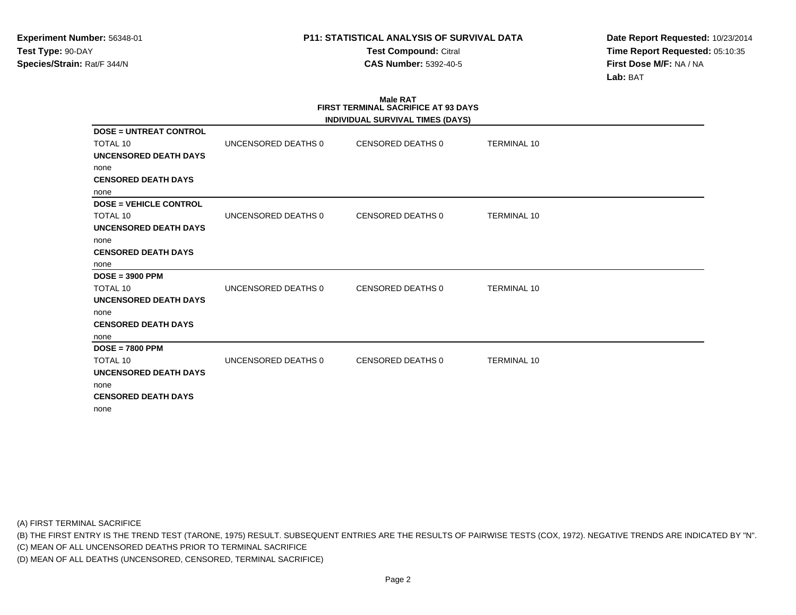**Test Compound:** Citral **CAS Number:** 5392-40-5

**Date Report Requested:** 10/23/2014**Time Report Requested:** 05:10:35**First Dose M/F:** NA / NA**Lab:** BAT

|                               |                     | <b>Male RAT</b><br><b>FIRST TERMINAL SACRIFICE AT 93 DAYS</b> |                    |  |
|-------------------------------|---------------------|---------------------------------------------------------------|--------------------|--|
|                               |                     | INDIVIDUAL SURVIVAL TIMES (DAYS)                              |                    |  |
| <b>DOSE = UNTREAT CONTROL</b> |                     |                                                               |                    |  |
| <b>TOTAL 10</b>               | UNCENSORED DEATHS 0 | CENSORED DEATHS 0                                             | <b>TERMINAL 10</b> |  |
| UNCENSORED DEATH DAYS         |                     |                                                               |                    |  |
| none                          |                     |                                                               |                    |  |
| <b>CENSORED DEATH DAYS</b>    |                     |                                                               |                    |  |
| none                          |                     |                                                               |                    |  |
| <b>DOSE = VEHICLE CONTROL</b> |                     |                                                               |                    |  |
| TOTAL 10                      | UNCENSORED DEATHS 0 | CENSORED DEATHS 0                                             | <b>TERMINAL 10</b> |  |
| <b>UNCENSORED DEATH DAYS</b>  |                     |                                                               |                    |  |
| none                          |                     |                                                               |                    |  |
| <b>CENSORED DEATH DAYS</b>    |                     |                                                               |                    |  |
| none                          |                     |                                                               |                    |  |
| $DOSE = 3900$ PPM             |                     |                                                               |                    |  |
| <b>TOTAL 10</b>               | UNCENSORED DEATHS 0 | CENSORED DEATHS 0                                             | <b>TERMINAL 10</b> |  |
| <b>UNCENSORED DEATH DAYS</b>  |                     |                                                               |                    |  |
| none                          |                     |                                                               |                    |  |
| <b>CENSORED DEATH DAYS</b>    |                     |                                                               |                    |  |
| none                          |                     |                                                               |                    |  |
| $DOSE = 7800$ PPM             |                     |                                                               |                    |  |
| <b>TOTAL 10</b>               | UNCENSORED DEATHS 0 | CENSORED DEATHS 0                                             | <b>TERMINAL 10</b> |  |
| <b>UNCENSORED DEATH DAYS</b>  |                     |                                                               |                    |  |
| none                          |                     |                                                               |                    |  |
| <b>CENSORED DEATH DAYS</b>    |                     |                                                               |                    |  |
| none                          |                     |                                                               |                    |  |

(A) FIRST TERMINAL SACRIFICE

(B) THE FIRST ENTRY IS THE TREND TEST (TARONE, 1975) RESULT. SUBSEQUENT ENTRIES ARE THE RESULTS OF PAIRWISE TESTS (COX, 1972). NEGATIVE TRENDS ARE INDICATED BY "N".

(C) MEAN OF ALL UNCENSORED DEATHS PRIOR TO TERMINAL SACRIFICE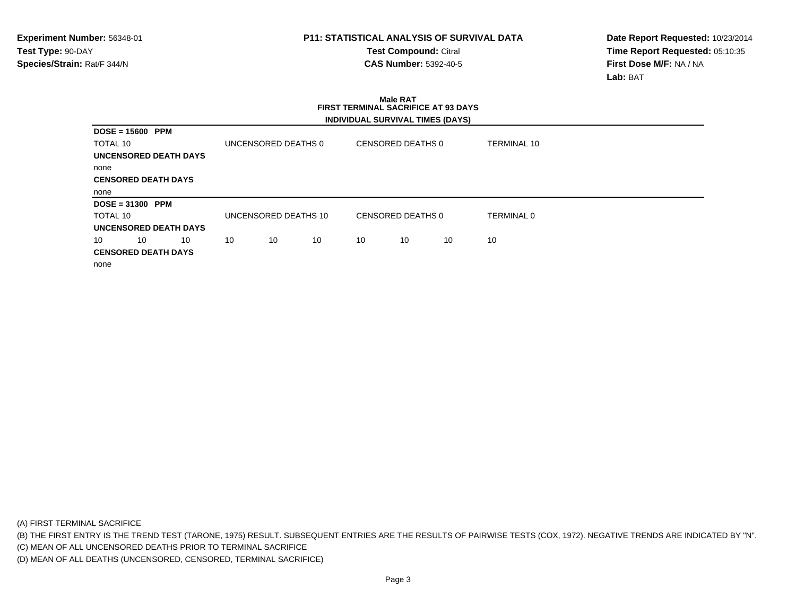**Test Compound:** Citral **CAS Number:** 5392-40-5

**Date Report Requested:** 10/23/2014**Time Report Requested:** 05:10:35**First Dose M/F:** NA / NA**Lab:** BAT

|                            | <b>Male RAT</b><br><b>FIRST TERMINAL SACRIFICE AT 93 DAYS</b> |    |                     |    |    |            |                                  |    |             |  |
|----------------------------|---------------------------------------------------------------|----|---------------------|----|----|------------|----------------------------------|----|-------------|--|
|                            |                                                               |    |                     |    |    |            | INDIVIDUAL SURVIVAL TIMES (DAYS) |    |             |  |
| $DOSE = 15600$             | PPM                                                           |    |                     |    |    |            |                                  |    |             |  |
| TOTAL 10                   |                                                               |    | UNCENSORED DEATHS 0 |    |    |            | CENSORED DEATHS 0                |    | TERMINAL 10 |  |
| UNCENSORED DEATH DAYS      |                                                               |    |                     |    |    |            |                                  |    |             |  |
| none                       |                                                               |    |                     |    |    |            |                                  |    |             |  |
| <b>CENSORED DEATH DAYS</b> |                                                               |    |                     |    |    |            |                                  |    |             |  |
| none                       |                                                               |    |                     |    |    |            |                                  |    |             |  |
| $DOSE = 31300$             | PPM                                                           |    |                     |    |    |            |                                  |    |             |  |
| TOTAL 10                   | UNCENSORED DEATHS 10<br>CENSORED DEATHS 0                     |    |                     |    |    | TERMINAL 0 |                                  |    |             |  |
| UNCENSORED DEATH DAYS      |                                                               |    |                     |    |    |            |                                  |    |             |  |
| 10                         | 10                                                            | 10 | 10                  | 10 | 10 | 10         | 10                               | 10 | 10          |  |
| <b>CENSORED DEATH DAYS</b> |                                                               |    |                     |    |    |            |                                  |    |             |  |
| none                       |                                                               |    |                     |    |    |            |                                  |    |             |  |

(A) FIRST TERMINAL SACRIFICE

(B) THE FIRST ENTRY IS THE TREND TEST (TARONE, 1975) RESULT. SUBSEQUENT ENTRIES ARE THE RESULTS OF PAIRWISE TESTS (COX, 1972). NEGATIVE TRENDS ARE INDICATED BY "N".

(C) MEAN OF ALL UNCENSORED DEATHS PRIOR TO TERMINAL SACRIFICE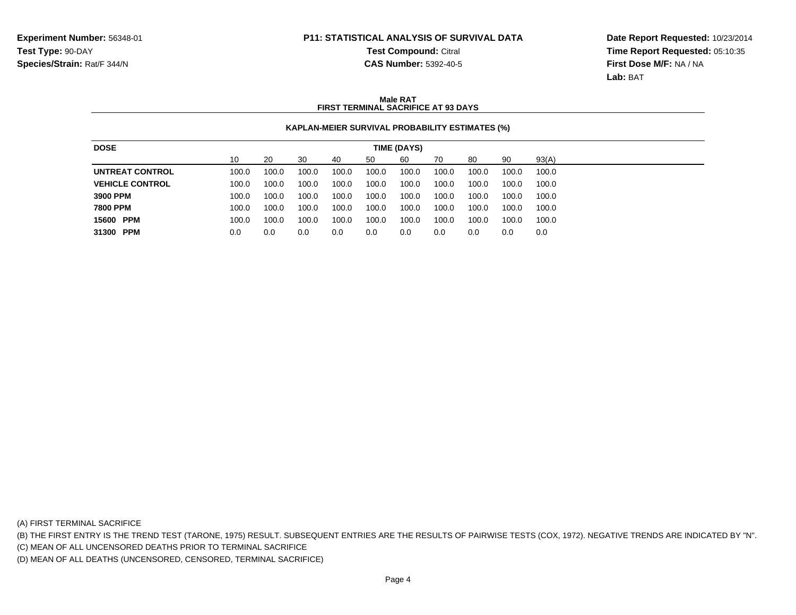# **P11: STATISTICAL ANALYSIS OF SURVIVAL DATATest Compound:** Citral

**CAS Number:** 5392-40-5

**Date Report Requested:** 10/23/2014**Time Report Requested:** 05:10:35**First Dose M/F:** NA / NA**Lab:** BAT

### **Male RATFIRST TERMINAL SACRIFICE AT 93 DAYS**

### **KAPLAN-MEIER SURVIVAL PROBABILITY ESTIMATES (%)**

| 10<br>20<br>93(A)<br>30<br>90<br>50<br>60<br>80<br>40<br>70<br>100.0<br>UNTREAT CONTROL<br>100.0<br>100.0<br>100.0<br>100.0<br>100.0<br>100.0<br>100.0<br>100.0<br>100.0<br><b>VEHICLE CONTROL</b><br>100.0<br>100.0<br>100.0<br>100.0<br>100.0<br>100.0<br>100.0<br>100.0<br>100.0<br>100.0 |
|----------------------------------------------------------------------------------------------------------------------------------------------------------------------------------------------------------------------------------------------------------------------------------------------|
|                                                                                                                                                                                                                                                                                              |
|                                                                                                                                                                                                                                                                                              |
|                                                                                                                                                                                                                                                                                              |
| 3900 PPM<br>100.0<br>100.0<br>100.0<br>100.0<br>100.0<br>100.0<br>100.0<br>100.0<br>100.0<br>100.0                                                                                                                                                                                           |
| 7800 PPM<br>100.0<br>100.0<br>100.0<br>100.0<br>100.0<br>100.0<br>100.0<br>100.0<br>100.0<br>100.0                                                                                                                                                                                           |
| 15600 PPM<br>100.0<br>100.0<br>100.0<br>100.0<br>100.0<br>100.0<br>100.0<br>100.0<br>100.0<br>100.0                                                                                                                                                                                          |
| 31300 PPM<br>0.0<br>0.0<br>0.0<br>0.0<br>0.0<br>0.0<br>0.0<br>0.0<br>0.0<br>0.0                                                                                                                                                                                                              |

(A) FIRST TERMINAL SACRIFICE

(B) THE FIRST ENTRY IS THE TREND TEST (TARONE, 1975) RESULT. SUBSEQUENT ENTRIES ARE THE RESULTS OF PAIRWISE TESTS (COX, 1972). NEGATIVE TRENDS ARE INDICATED BY "N".

(C) MEAN OF ALL UNCENSORED DEATHS PRIOR TO TERMINAL SACRIFICE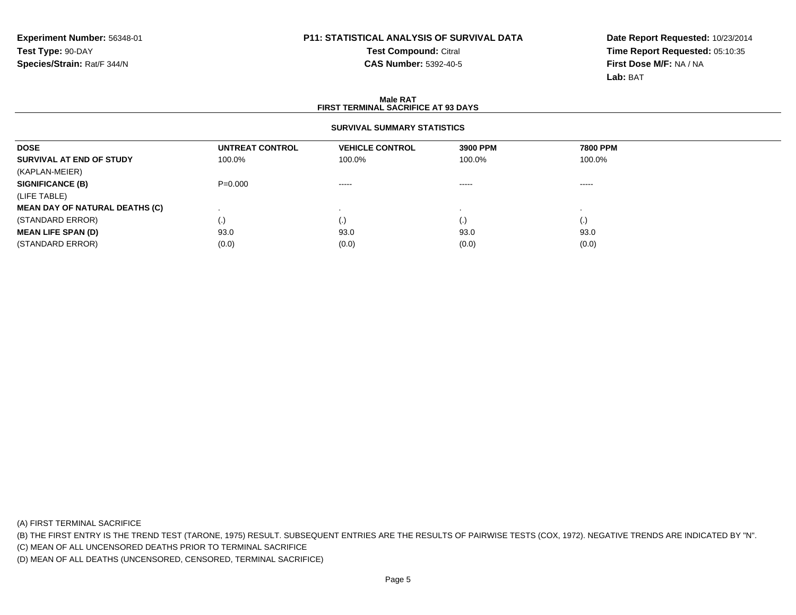**Test Compound:** Citral **CAS Number:** 5392-40-5

**Date Report Requested:** 10/23/2014**Time Report Requested:** 05:10:35**First Dose M/F:** NA / NA**Lab:** BAT

#### **Male RATFIRST TERMINAL SACRIFICE AT 93 DAYS**

### **SURVIVAL SUMMARY STATISTICS**

| 7800 PPM<br>100.0% |
|--------------------|
|                    |
|                    |
|                    |
| $\cdots$           |
|                    |
|                    |
|                    |
| 93.0               |
| (0.0)              |
|                    |

(A) FIRST TERMINAL SACRIFICE

(B) THE FIRST ENTRY IS THE TREND TEST (TARONE, 1975) RESULT. SUBSEQUENT ENTRIES ARE THE RESULTS OF PAIRWISE TESTS (COX, 1972). NEGATIVE TRENDS ARE INDICATED BY "N".

(C) MEAN OF ALL UNCENSORED DEATHS PRIOR TO TERMINAL SACRIFICE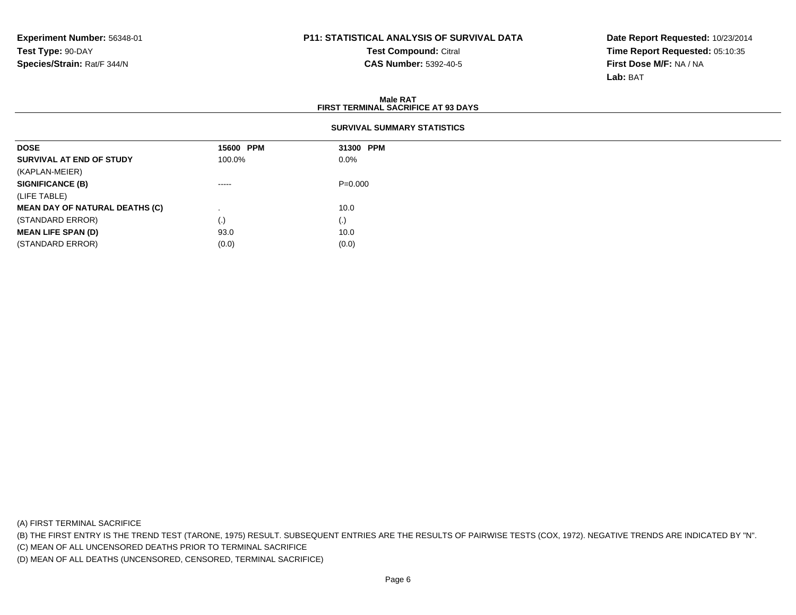**Test Compound:** Citral **CAS Number:** 5392-40-5

**Date Report Requested:** 10/23/2014**Time Report Requested:** 05:10:35**First Dose M/F:** NA / NA**Lab:** BAT

#### **Male RAT FIRST TERMINAL SACRIFICE AT 93 DAYSSURVIVAL SUMMARY STATISTICSDOSE 15600 PPM 31300 PPM SURVIVAL AT END OF STUDY** 100.0% $\%$  0.0% (KAPLAN-MEIER)**SIGNIFICANCE (B)** ----- P=0.000(LIFE TABLE) **MEAN DAY OF NATURAL DEATHS (C)**) and the contract of  $\sim$  10.0  $\sim$ (STANDARD ERROR) $\qquad \qquad (\text{.})$  (0) **MEAN LIFE SPAN (D)** 93.0 10.0 (STANDARD ERROR) $(0.0)$  (0.0)

(A) FIRST TERMINAL SACRIFICE

(B) THE FIRST ENTRY IS THE TREND TEST (TARONE, 1975) RESULT. SUBSEQUENT ENTRIES ARE THE RESULTS OF PAIRWISE TESTS (COX, 1972). NEGATIVE TRENDS ARE INDICATED BY "N".

(C) MEAN OF ALL UNCENSORED DEATHS PRIOR TO TERMINAL SACRIFICE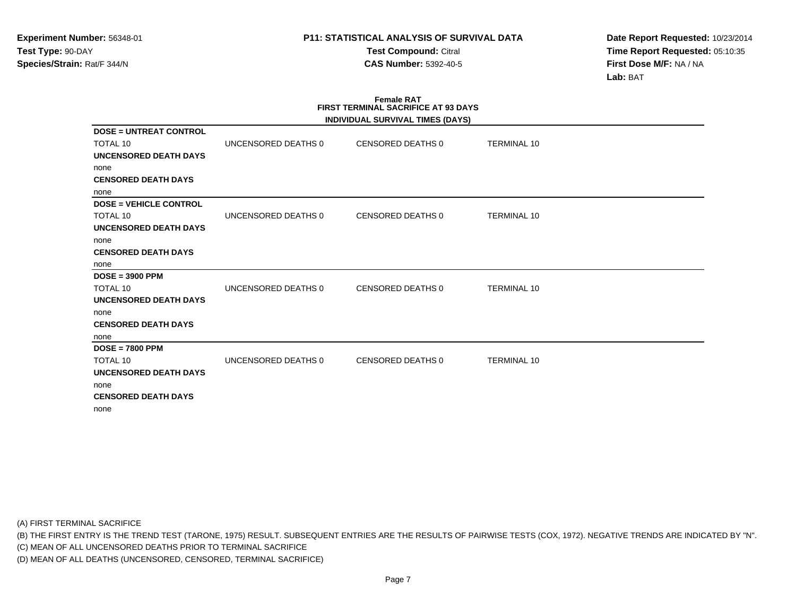**Test Compound:** Citral **CAS Number:** 5392-40-5

**Date Report Requested:** 10/23/2014**Time Report Requested:** 05:10:35**First Dose M/F:** NA / NA**Lab:** BAT

|                               |                     | <b>Female RAT</b><br><b>FIRST TERMINAL SACRIFICE AT 93 DAYS</b><br><b>INDIVIDUAL SURVIVAL TIMES (DAYS)</b> |                    |  |
|-------------------------------|---------------------|------------------------------------------------------------------------------------------------------------|--------------------|--|
| <b>DOSE = UNTREAT CONTROL</b> |                     |                                                                                                            |                    |  |
| TOTAL 10                      | UNCENSORED DEATHS 0 | CENSORED DEATHS 0                                                                                          | <b>TERMINAL 10</b> |  |
| <b>UNCENSORED DEATH DAYS</b>  |                     |                                                                                                            |                    |  |
| none                          |                     |                                                                                                            |                    |  |
| <b>CENSORED DEATH DAYS</b>    |                     |                                                                                                            |                    |  |
| none                          |                     |                                                                                                            |                    |  |
| <b>DOSE = VEHICLE CONTROL</b> |                     |                                                                                                            |                    |  |
| <b>TOTAL 10</b>               | UNCENSORED DEATHS 0 | CENSORED DEATHS 0                                                                                          | <b>TERMINAL 10</b> |  |
| <b>UNCENSORED DEATH DAYS</b>  |                     |                                                                                                            |                    |  |
| none                          |                     |                                                                                                            |                    |  |
| <b>CENSORED DEATH DAYS</b>    |                     |                                                                                                            |                    |  |
| none                          |                     |                                                                                                            |                    |  |
| $DOSE = 3900$ PPM             |                     |                                                                                                            |                    |  |
| TOTAL 10                      | UNCENSORED DEATHS 0 | CENSORED DEATHS 0                                                                                          | <b>TERMINAL 10</b> |  |
| <b>UNCENSORED DEATH DAYS</b>  |                     |                                                                                                            |                    |  |
| none                          |                     |                                                                                                            |                    |  |
| <b>CENSORED DEATH DAYS</b>    |                     |                                                                                                            |                    |  |
| none                          |                     |                                                                                                            |                    |  |
| $DOSE = 7800$ PPM             |                     |                                                                                                            |                    |  |
| TOTAL 10                      | UNCENSORED DEATHS 0 | CENSORED DEATHS 0                                                                                          | <b>TERMINAL 10</b> |  |
| <b>UNCENSORED DEATH DAYS</b>  |                     |                                                                                                            |                    |  |
| none                          |                     |                                                                                                            |                    |  |
| <b>CENSORED DEATH DAYS</b>    |                     |                                                                                                            |                    |  |
| none                          |                     |                                                                                                            |                    |  |

(A) FIRST TERMINAL SACRIFICE

(B) THE FIRST ENTRY IS THE TREND TEST (TARONE, 1975) RESULT. SUBSEQUENT ENTRIES ARE THE RESULTS OF PAIRWISE TESTS (COX, 1972). NEGATIVE TRENDS ARE INDICATED BY "N".

(C) MEAN OF ALL UNCENSORED DEATHS PRIOR TO TERMINAL SACRIFICE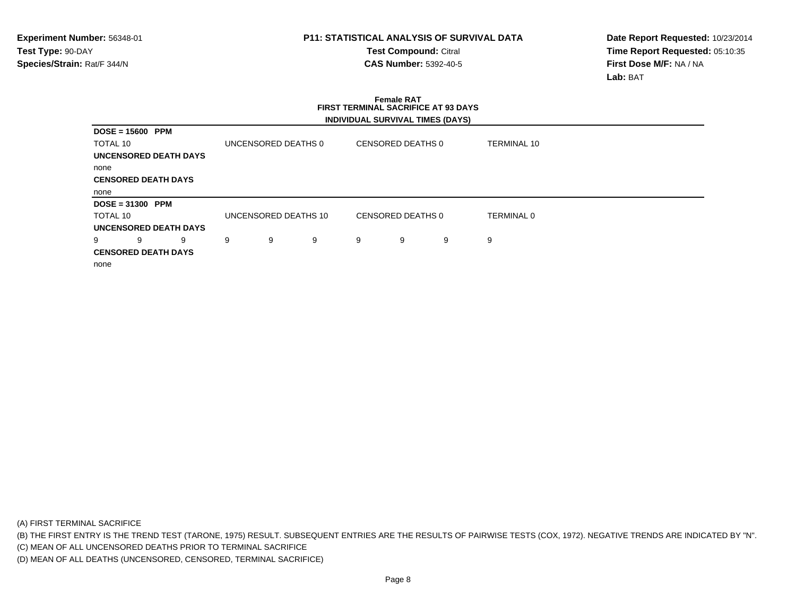**Test Compound:** Citral **CAS Number:** 5392-40-5

**Date Report Requested:** 10/23/2014**Time Report Requested:** 05:10:35**First Dose M/F:** NA / NA**Lab:** BAT

|                              | <b>Female RAT</b><br><b>FIRST TERMINAL SACRIFICE AT 93 DAYS</b> |                              |   |                      |   |   |                                  |   |                    |  |
|------------------------------|-----------------------------------------------------------------|------------------------------|---|----------------------|---|---|----------------------------------|---|--------------------|--|
|                              |                                                                 |                              |   |                      |   |   | INDIVIDUAL SURVIVAL TIMES (DAYS) |   |                    |  |
|                              | $DOSE = 15600$ PPM                                              |                              |   |                      |   |   |                                  |   |                    |  |
| TOTAL 10                     |                                                                 |                              |   | UNCENSORED DEATHS 0  |   |   | CENSORED DEATHS 0                |   | <b>TERMINAL 10</b> |  |
| <b>UNCENSORED DEATH DAYS</b> |                                                                 |                              |   |                      |   |   |                                  |   |                    |  |
| none                         |                                                                 |                              |   |                      |   |   |                                  |   |                    |  |
|                              | <b>CENSORED DEATH DAYS</b>                                      |                              |   |                      |   |   |                                  |   |                    |  |
| none                         |                                                                 |                              |   |                      |   |   |                                  |   |                    |  |
|                              | $DOSE = 31300$ PPM                                              |                              |   |                      |   |   |                                  |   |                    |  |
| TOTAL 10                     |                                                                 |                              |   | UNCENSORED DEATHS 10 |   |   | CENSORED DEATHS 0                |   | <b>TERMINAL 0</b>  |  |
|                              |                                                                 | <b>UNCENSORED DEATH DAYS</b> |   |                      |   |   |                                  |   |                    |  |
| 9                            | 9                                                               | 9                            | 9 | 9                    | 9 | 9 | 9                                | 9 | 9                  |  |
|                              | <b>CENSORED DEATH DAYS</b>                                      |                              |   |                      |   |   |                                  |   |                    |  |
| none                         |                                                                 |                              |   |                      |   |   |                                  |   |                    |  |

(A) FIRST TERMINAL SACRIFICE

(B) THE FIRST ENTRY IS THE TREND TEST (TARONE, 1975) RESULT. SUBSEQUENT ENTRIES ARE THE RESULTS OF PAIRWISE TESTS (COX, 1972). NEGATIVE TRENDS ARE INDICATED BY "N".

(C) MEAN OF ALL UNCENSORED DEATHS PRIOR TO TERMINAL SACRIFICE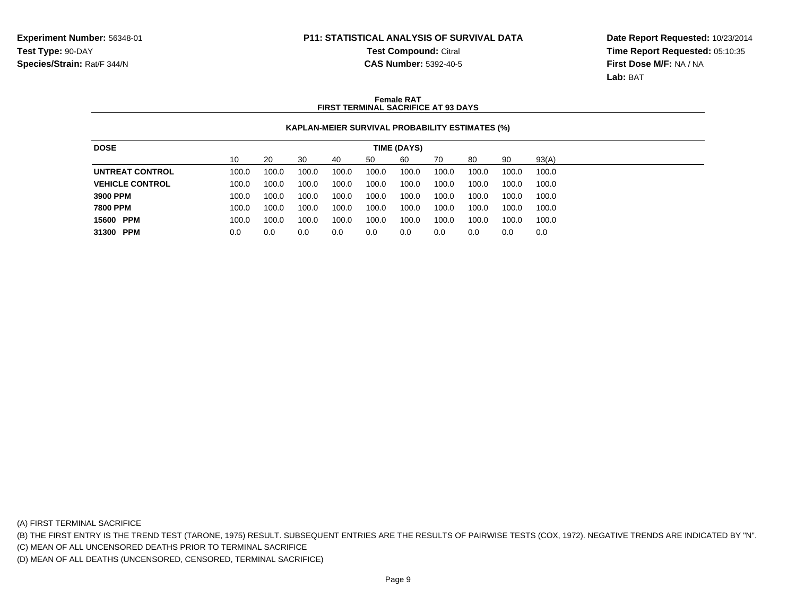# **P11: STATISTICAL ANALYSIS OF SURVIVAL DATATest Compound:** Citral

**CAS Number:** 5392-40-5

**Date Report Requested:** 10/23/2014**Time Report Requested:** 05:10:35**First Dose M/F:** NA / NA**Lab:** BAT

### **Female RATFIRST TERMINAL SACRIFICE AT 93 DAYS**

### **KAPLAN-MEIER SURVIVAL PROBABILITY ESTIMATES (%)**

| <b>DOSE</b>            |       |       |       |       |       | TIME (DAYS) |       |       |       |       |
|------------------------|-------|-------|-------|-------|-------|-------------|-------|-------|-------|-------|
|                        | 10    | 20    | 30    | 40    | 50    | 60          | 70    | 80    | 90    | 93(A) |
|                        |       |       |       |       |       |             |       |       |       |       |
| <b>UNTREAT CONTROL</b> | 100.0 | 100.0 | 100.0 | 100.0 | 100.0 | 100.0       | 100.0 | 100.0 | 100.0 | 100.0 |
| <b>VEHICLE CONTROL</b> | 100.0 | 100.0 | 100.0 | 100.0 | 100.0 | 100.0       | 100.0 | 100.0 | 100.0 | 100.0 |
| 3900 PPM               | 100.0 | 100.0 | 100.0 | 100.0 | 100.0 | 100.0       | 100.0 | 100.0 | 100.0 | 100.0 |
| 7800 PPM               | 100.0 | 100.0 | 100.0 | 100.0 | 100.0 | 100.0       | 100.0 | 100.0 | 100.0 | 100.0 |
| 15600 PPM              | 100.0 | 100.0 | 100.0 | 100.0 | 100.0 | 100.0       | 100.0 | 100.0 | 100.0 | 100.0 |
| 31300 PPM              | 0.0   | 0.0   | 0.0   | 0.0   | 0.0   | 0.0         | 0.0   | 0.0   | 0.0   | 0.0   |
|                        |       |       |       |       |       |             |       |       |       |       |

(A) FIRST TERMINAL SACRIFICE

(B) THE FIRST ENTRY IS THE TREND TEST (TARONE, 1975) RESULT. SUBSEQUENT ENTRIES ARE THE RESULTS OF PAIRWISE TESTS (COX, 1972). NEGATIVE TRENDS ARE INDICATED BY "N".

(C) MEAN OF ALL UNCENSORED DEATHS PRIOR TO TERMINAL SACRIFICE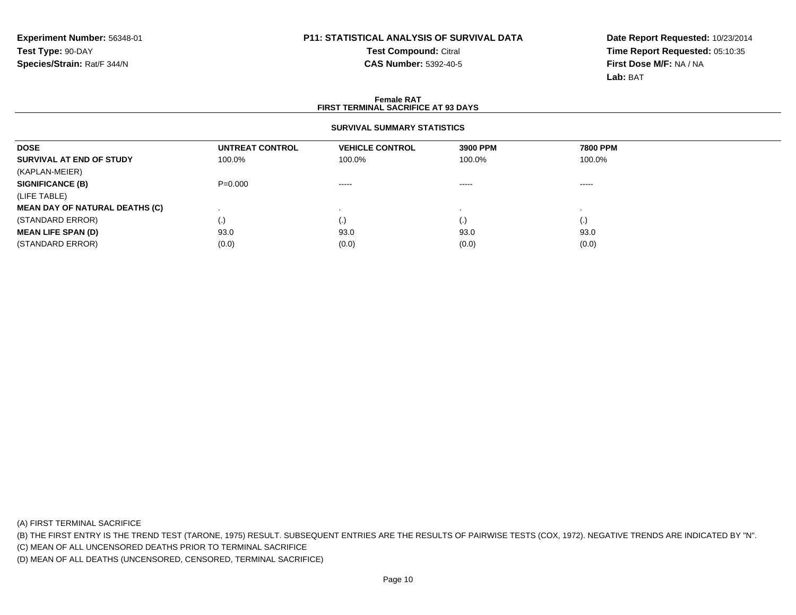**Test Compound:** Citral **CAS Number:** 5392-40-5

**Date Report Requested:** 10/23/2014**Time Report Requested:** 05:10:35**First Dose M/F:** NA / NA**Lab:** BAT

#### **Female RATFIRST TERMINAL SACRIFICE AT 93 DAYS**

### **SURVIVAL SUMMARY STATISTICS**

| <b>DOSE</b>                           | UNTREAT CONTROL | <b>VEHICLE CONTROL</b> | 3900 PPM | <b>7800 PPM</b>    |  |
|---------------------------------------|-----------------|------------------------|----------|--------------------|--|
| SURVIVAL AT END OF STUDY              | 100.0%          | 100.0%                 | 100.0%   | 100.0%             |  |
| (KAPLAN-MEIER)                        |                 |                        |          |                    |  |
| <b>SIGNIFICANCE (B)</b>               | $P = 0.000$     | $\cdots$               | $\cdots$ | $\cdots$           |  |
| (LIFE TABLE)                          |                 |                        |          |                    |  |
| <b>MEAN DAY OF NATURAL DEATHS (C)</b> |                 |                        |          |                    |  |
| (STANDARD ERROR)                      | (.)             | $\cdot$                | (.)      | $\left( . \right)$ |  |
| <b>MEAN LIFE SPAN (D)</b>             | 93.0            | 93.0                   | 93.0     | 93.0               |  |
| (STANDARD ERROR)                      | (0.0)           | (0.0)                  | (0.0)    | (0.0)              |  |

(A) FIRST TERMINAL SACRIFICE

(B) THE FIRST ENTRY IS THE TREND TEST (TARONE, 1975) RESULT. SUBSEQUENT ENTRIES ARE THE RESULTS OF PAIRWISE TESTS (COX, 1972). NEGATIVE TRENDS ARE INDICATED BY "N".

(C) MEAN OF ALL UNCENSORED DEATHS PRIOR TO TERMINAL SACRIFICE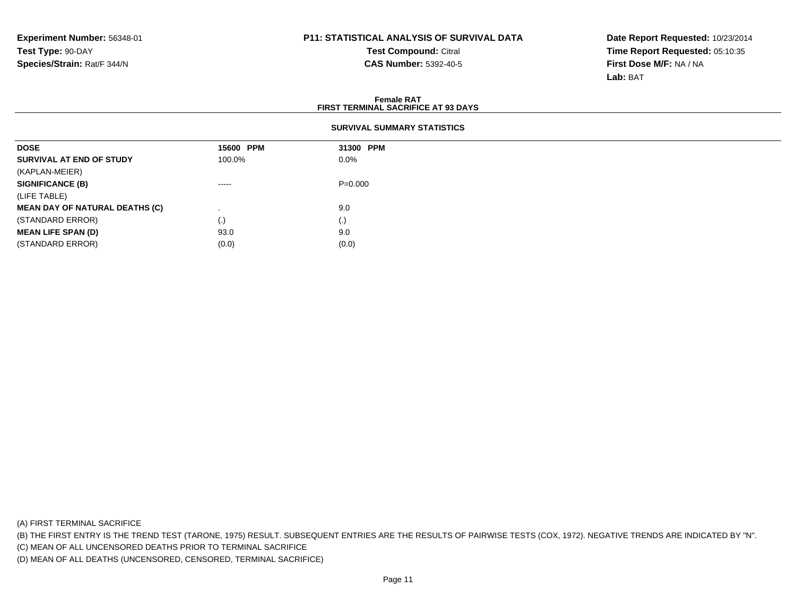**Test Compound:** Citral **CAS Number:** 5392-40-5

**Date Report Requested:** 10/23/2014**Time Report Requested:** 05:10:35**First Dose M/F:** NA / NA**Lab:** BAT

#### **Female RAT FIRST TERMINAL SACRIFICE AT 93 DAYSSURVIVAL SUMMARY STATISTICSDOSE 15600 PPM 31300 PPM SURVIVAL AT END OF STUDY** 100.0% $\%$  0.0% (KAPLAN-MEIER)**SIGNIFICANCE (B)** ----- P=0.000(LIFE TABLE) **MEAN DAY OF NATURAL DEATHS (C)**) and the set of  $\sim$  9.0  $\sim$  $\left( .\right)$ (STANDARD ERROR) $\qquad \qquad (\text{.})$  (0) **MEAN LIFE SPAN (D)** 93.0 9.0 (STANDARD ERROR)

(A) FIRST TERMINAL SACRIFICE

(B) THE FIRST ENTRY IS THE TREND TEST (TARONE, 1975) RESULT. SUBSEQUENT ENTRIES ARE THE RESULTS OF PAIRWISE TESTS (COX, 1972). NEGATIVE TRENDS ARE INDICATED BY "N".

(C) MEAN OF ALL UNCENSORED DEATHS PRIOR TO TERMINAL SACRIFICE

(D) MEAN OF ALL DEATHS (UNCENSORED, CENSORED, TERMINAL SACRIFICE)

 $(0.0)$  (0.0)